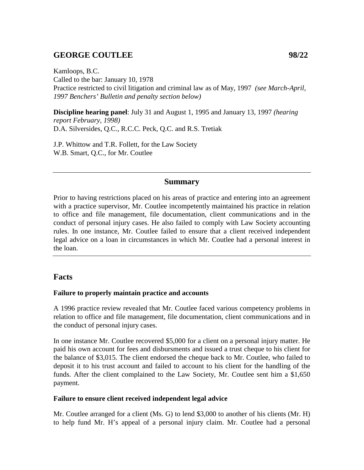# **GEORGE COUTLEE 98/22**

Kamloops, B.C. Called to the bar: January 10, 1978 Practice restricted to civil litigation and criminal law as of May, 1997 *(see March-April, 1997 Benchers' Bulletin and penalty section below)*

**Discipline hearing panel**: July 31 and August 1, 1995 and January 13, 1997 *(hearing report February, 1998)* D.A. Silversides, Q.C., R.C.C. Peck, Q.C. and R.S. Tretiak

J.P. Whittow and T.R. Follett, for the Law Society W.B. Smart, Q.C., for Mr. Coutlee

### **Summary**

Prior to having restrictions placed on his areas of practice and entering into an agreement with a practice supervisor, Mr. Coutlee incompetently maintained his practice in relation to office and file management, file documentation, client communications and in the conduct of personal injury cases. He also failed to comply with Law Society accounting rules. In one instance, Mr. Coutlee failed to ensure that a client received independent legal advice on a loan in circumstances in which Mr. Coutlee had a personal interest in the loan.

### **Facts**

#### **Failure to properly maintain practice and accounts**

A 1996 practice review revealed that Mr. Coutlee faced various competency problems in relation to office and file management, file documentation, client communications and in the conduct of personal injury cases.

In one instance Mr. Coutlee recovered \$5,000 for a client on a personal injury matter. He paid his own account for fees and disbursments and issued a trust cheque to his client for the balance of \$3,015. The client endorsed the cheque back to Mr. Coutlee, who failed to deposit it to his trust account and failed to account to his client for the handling of the funds. After the client complained to the Law Society, Mr. Coutlee sent him a \$1,650 payment.

#### **Failure to ensure client received independent legal advice**

Mr. Coutlee arranged for a client (Ms. G) to lend \$3,000 to another of his clients (Mr. H) to help fund Mr. H's appeal of a personal injury claim. Mr. Coutlee had a personal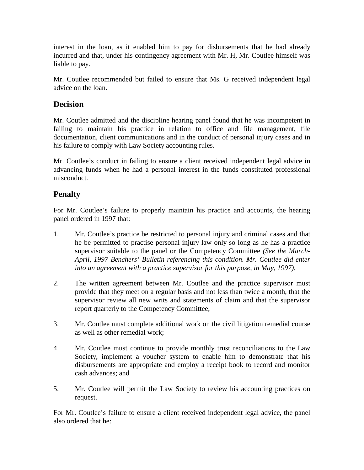interest in the loan, as it enabled him to pay for disbursements that he had already incurred and that, under his contingency agreement with Mr. H, Mr. Coutlee himself was liable to pay.

Mr. Coutlee recommended but failed to ensure that Ms. G received independent legal advice on the loan.

## **Decision**

Mr. Coutlee admitted and the discipline hearing panel found that he was incompetent in failing to maintain his practice in relation to office and file management, file documentation, client communications and in the conduct of personal injury cases and in his failure to comply with Law Society accounting rules.

Mr. Coutlee's conduct in failing to ensure a client received independent legal advice in advancing funds when he had a personal interest in the funds constituted professional misconduct.

# **Penalty**

For Mr. Coutlee's failure to properly maintain his practice and accounts, the hearing panel ordered in 1997 that:

- 1. Mr. Coutlee's practice be restricted to personal injury and criminal cases and that he be permitted to practise personal injury law only so long as he has a practice supervisor suitable to the panel or the Competency Committee *(See the March-April, 1997 Benchers' Bulletin referencing this condition. Mr. Coutlee did enter into an agreement with a practice supervisor for this purpose, in May, 1997).*
- 2. The written agreement between Mr. Coutlee and the practice supervisor must provide that they meet on a regular basis and not less than twice a month, that the supervisor review all new writs and statements of claim and that the supervisor report quarterly to the Competency Committee;
- 3. Mr. Coutlee must complete additional work on the civil litigation remedial course as well as other remedial work;
- 4. Mr. Coutlee must continue to provide monthly trust reconciliations to the Law Society, implement a voucher system to enable him to demonstrate that his disbursements are appropriate and employ a receipt book to record and monitor cash advances; and
- 5. Mr. Coutlee will permit the Law Society to review his accounting practices on request.

For Mr. Coutlee's failure to ensure a client received independent legal advice, the panel also ordered that he: